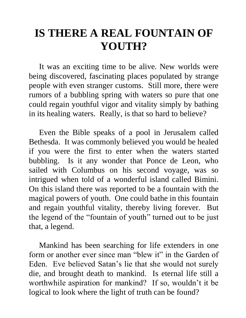# **IS THERE A REAL FOUNTAIN OF YOUTH?**

 It was an exciting time to be alive. New worlds were being discovered, fascinating places populated by strange people with even stranger customs. Still more, there were rumors of a bubbling spring with waters so pure that one could regain youthful vigor and vitality simply by bathing in its healing waters. Really, is that so hard to believe?

 Even the Bible speaks of a pool in Jerusalem called Bethesda. It was commonly believed you would be healed if you were the first to enter when the waters started bubbling. Is it any wonder that Ponce de Leon, who sailed with Columbus on his second voyage, was so intrigued when told of a wonderful island called Bimini. On this island there was reported to be a fountain with the magical powers of youth. One could bathe in this fountain and regain youthful vitality, thereby living forever. But the legend of the "fountain of youth" turned out to be just that, a legend.

 Mankind has been searching for life extenders in one form or another ever since man "blew it" in the Garden of Eden. Eve believed Satan's lie that she would not surely die, and brought death to mankind. Is eternal life still a worthwhile aspiration for mankind? If so, wouldn't it be logical to look where the light of truth can be found?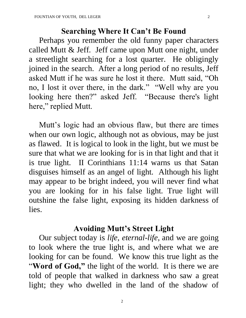#### **Searching Where It Can't Be Found**

 Perhaps you remember the old funny paper characters called Mutt & Jeff. Jeff came upon Mutt one night, under a streetlight searching for a lost quarter. He obligingly joined in the search. After a long period of no results, Jeff asked Mutt if he was sure he lost it there. Mutt said, "Oh no, I lost it over there, in the dark." "Well why are you looking here then?" asked Jeff. "Because there's light here," replied Mutt.

 Mutt's logic had an obvious flaw, but there are times when our own logic, although not as obvious, may be just as flawed. It is logical to look in the light, but we must be sure that what we are looking for is in that light and that it is true light. II Corinthians 11:14 warns us that Satan disguises himself as an angel of light. Although his light may appear to be bright indeed, you will never find what you are looking for in his false light. True light will outshine the false light, exposing its hidden darkness of lies.

#### **Avoiding Mutt's Street Light**

 Our subject today is *life, eternal-life,* and we are going to look where the true light is, and where what we are looking for can be found. We know this true light as the "Word of God," the light of the world. It is there we are told of people that walked in darkness who saw a great light; they who dwelled in the land of the shadow of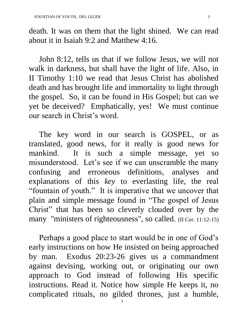death. It was on them that the light shined. We can read about it in Isaiah 9:2 and Matthew 4:16.

 John 8:12, tells us that if we follow Jesus, we will not walk in darkness, but shall have the light of life. Also, in II Timothy 1:10 we read that Jesus Christ has abolished death and has brought life and immortality to light through the gospel. So, it can be found in His Gospel; but can we yet be deceived? Emphatically, yes! We must continue our search in Christ's word.

 The key word in our search is GOSPEL, or as translated, good news, for it really is good news for mankind. It is such a simple message, yet so misunderstood. Let's see if we can unscramble the many confusing and erroneous definitions, analyses and explanations of this *key* to everlasting life, the real "fountain of youth." It is imperative that we uncover that plain and simple message found in "The gospel of Jesus Christ" that has been so cleverly clouded over by the many "ministers of righteousness", so called. (II Cor. 11:12-15)

 Perhaps a good place to start would be in one of God's early instructions on how He insisted on being approached by man. Exodus 20:23-26 gives us a commandment against devising, working out, or originating our own approach to God instead of following His specific instructions. Read it. Notice how simple He keeps it, no complicated rituals, no gilded thrones, just a humble,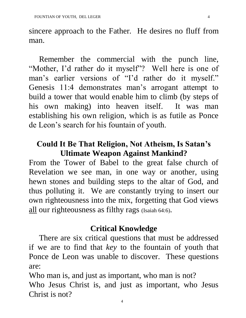sincere approach to the Father. He desires no fluff from man.

 Remember the commercial with the punch line, "Mother, I'd rather do it myself"? Well here is one of man's earlier versions of "I'd rather do it myself." Genesis 11:4 demonstrates man's arrogant attempt to build a tower that would enable him to climb (by steps of his own making) into heaven itself. It was man establishing his own religion, which is as futile as Ponce de Leon's search for his fountain of youth.

## **Could It Be That Religion, Not Atheism, Is Satan's Ultimate Weapon Against Mankind?**

From the Tower of Babel to the great false church of Revelation we see man, in one way or another, using hewn stones and building steps to the altar of God, and thus polluting it. We are constantly trying to insert our own righteousness into the mix, forgetting that God views all our righteousness as filthy rags (Isaiah 64:6).

## **Critical Knowledge**

 There are six critical questions that must be addressed if we are to find that *key* to the fountain of youth that Ponce de Leon was unable to discover. These questions are:

4 Who man is, and just as important, who man is not? Who Jesus Christ is, and just as important, who Jesus Christ is not?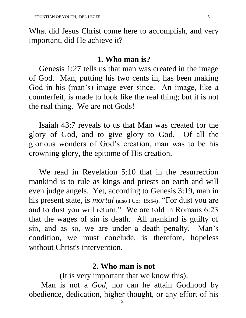What did Jesus Christ come here to accomplish, and very important, did He achieve it?

#### **1. Who man is?**

 Genesis 1:27 tells us that man was created in the image of God. Man, putting his two cents in, has been making God in his (man's) image ever since. An image, like a counterfeit, is made to look like the real thing; but it is not the real thing. We are not Gods!

 Isaiah 43:7 reveals to us that Man was created for the glory of God, and to give glory to God. Of all the glorious wonders of God's creation, man was to be his crowning glory, the epitome of His creation.

 We read in Revelation 5:10 that in the resurrection mankind is to rule as kings and priests on earth and will even judge angels. Yet, according to Genesis 3:19, man in his present state, is *mortal* (also I Cor. 15:54). "For dust you are and to dust you will return." We are told in Romans 6:23 that the wages of sin is death. All mankind is guilty of sin, and as so, we are under a death penalty. Man's condition, we must conclude, is therefore, hopeless without Christ's intervention**.** 

#### **2. Who man is not**

(It is very important that we know this).

 Man is not a *God*, nor can he attain Godhood by obedience, dedication, higher thought, or any effort of his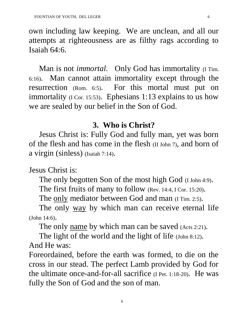own including law keeping. We are unclean, and all our attempts at righteousness are as filthy rags according to Isaiah 64:6.

Man is not *immortal*. Only God has immortality (I Tim. 6:16). Man cannot attain immortality except through the resurrection (Rom. 6:5). For this mortal must put on immortality (I Cor. 15:53). Ephesians 1:13 explains to us how we are sealed by our belief in the Son of God.

## **3. Who is Christ?**

 Jesus Christ is: Fully God and fully man, yet was born of the flesh and has come in the flesh (II John 7), and born of a virgin (sinless) (Isaiah 7:14).

Jesus Christ is:

The only begotten Son of the most high God (I John 4:9).

The first fruits of many to follow (Rev. 14:4, I Cor. 15:20).

The only mediator between God and man (I Tim. 2:5).

The only way by which man can receive eternal life (John 14:6).

The only name by which man can be saved (Acts 2:21).

The light of the world and the light of life (John 8:12).

And He was:

Foreordained, before the earth was formed, to die on the cross in our stead. The perfect Lamb provided by God for the ultimate once-and-for-all sacrifice (I Pet. 1:18-20). He was fully the Son of God and the son of man.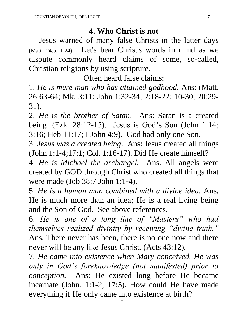## **4. Who Christ is not**

 Jesus warned of many false Christs in the latter days (Matt. 24:5,11,24). Let's bear Christ's words in mind as we dispute commonly heard claims of some, so-called, Christian religions by using scripture.

Often heard false claims:

1. *He is mere man who has attained godhood.* Ans: (Matt. 26:63-64; Mk. 3:11; John 1:32-34; 2:18-22; 10-30; 20:29- 31).

2. *He is the brother of Satan*. Ans: Satan is a created being. (Ezk. 28:12-15). Jesus is God's Son (John 1:14; 3:16; Heb 11:17; I John 4:9). God had only one Son.

3. *Jesus was a created being.* Ans: Jesus created all things (John 1:1-4;17:1; Col. 1:16-17). Did He create himself?

4. *He is Michael the archangel.* Ans. All angels were created by GOD through Christ who created all things that were made (Job 38:7 John 1:1-4).

5. *He is a human man combined with a divine idea.* Ans. He is much more than an idea; He is a real living being and the Son of God. See above references.

6. *He is one of a long line of "Masters" who had themselves realized divinity by receiving "divine truth."* Ans. There never has been, there is no one now and there never will be any like Jesus Christ. (Acts 43:12).

7. *He came into existence when Mary conceived. He was only in God's foreknowledge (not manifested) prior to conception.* Ans: He existed long before He became incarnate (John. 1:1-2; 17:5). How could He have made everything if He only came into existence at birth?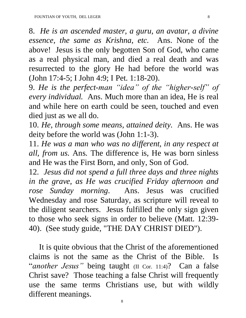8. *He is an ascended master, a guru, an avatar, a divine essence, the same as Krishna, etc.* Ans. None of the above! Jesus is the only begotten Son of God, who came as a real physical man, and died a real death and was resurrected to the glory He had before the world was (John 17:4-5; I John 4:9; I Pet. 1:18-20).

9. *He is the perfect-man "idea" of the "higher-self" of every individual.* Ans. Much more than an idea, He is real and while here on earth could be seen, touched and even died just as we all do.

10. *He, through some means, attained deity.* Ans. He was deity before the world was (John 1:1-3).

11. *He was a man who was no different, in any respect at all, from us.* Ans. The difference is, He was born sinless and He was the First Born, and only, Son of God.

12. *Jesus did not spend a full three days and three nights in the grave, as He was crucified Friday afternoon and rose Sunday morning.* Ans. Jesus was crucified Wednesday and rose Saturday, as scripture will reveal to the diligent searchers. Jesus fulfilled the only sign given to those who seek signs in order to believe (Matt. 12:39- 40). (See study guide, "THE DAY CHRIST DIED").

 It is quite obvious that the Christ of the aforementioned claims is not the same as the Christ of the Bible. Is "*another Jesus"* being taught (II Cor. 11:4)? Can a false Christ save? Those teaching a false Christ will frequently use the same terms Christians use, but with wildly different meanings.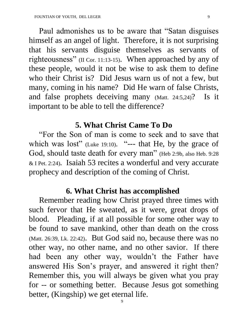Paul admonishes us to be aware that "Satan disguises himself as an angel of light. Therefore, it is not surprising that his servants disguise themselves as servants of righteousness" (II Cor. 11:13-15). When approached by any of these people, would it not be wise to ask them to define who their Christ is? Did Jesus warn us of not a few, but many, coming in his name? Did He warn of false Christs, and false prophets deceiving many (Matt. 24:5,24)? Is it important to be able to tell the difference?

#### **5. What Christ Came To Do**

 "For the Son of man is come to seek and to save that which was lost" (Luke 19:10). "--- that He, by the grace of God, should taste death for every man" (Heb 2:9b, also Heb. 9:28 & I Pet. 2:24). Isaiah 53 recites a wonderful and very accurate prophecy and description of the coming of Christ.

## **6. What Christ has accomplished**

 Remember reading how Christ prayed three times with such fervor that He sweated, as it were, great drops of blood. Pleading, if at all possible for some other way to be found to save mankind, other than death on the cross (Matt. 26:39, Lk. 22:42). But God said no, because there was no other way, no other name, and no other savior. If there had been any other way, wouldn't the Father have answered His Son's prayer, and answered it right then? Remember this, you will always be given what you pray for -- or something better. Because Jesus got something better, (Kingship) we get eternal life.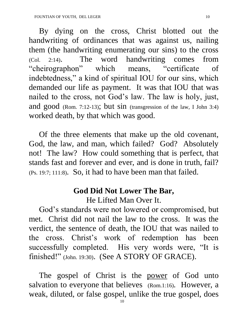By dying on the cross, Christ blotted out the handwriting of ordinances that was against us, nailing them (the handwriting enumerating our sins) to the cross (Col. 2:14). The word handwriting comes from "cheirographon" which means, "certificate of indebtedness," a kind of spiritual IOU for our sins, which demanded our life as payment. It was that IOU that was nailed to the cross, not God's law. The law is holy, just, and good (Rom. 7:12-13); but sin (transgression of the law, I John 3:4) worked death, by that which was good.

 Of the three elements that make up the old covenant, God, the law, and man, which failed? God? Absolutely not! The law? How could something that is perfect, that stands fast and forever and ever, and is done in truth, fail? (Ps. 19:7; 111:8). So, it had to have been man that failed.

## **God Did Not Lower The Bar,** He Lifted Man Over It.

 God's standards were not lowered or compromised, but met. Christ did not nail the law to the cross. It was the verdict, the sentence of death, the IOU that was nailed to the cross. Christ's work of redemption has been successfully completed. His very words were, "It is finished!" (John. 19:30). (See A STORY OF GRACE).

The gospel of Christ is the power of God unto salvation to everyone that believes (Rom.1:16). However, a weak, diluted, or false gospel, unlike the true gospel, does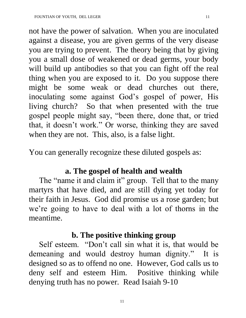not have the power of salvation. When you are inoculated against a disease, you are given germs of the very disease you are trying to prevent. The theory being that by giving you a small dose of weakened or dead germs, your body will build up antibodies so that you can fight off the real thing when you are exposed to it. Do you suppose there might be some weak or dead churches out there, inoculating some against God's gospel of power, His living church? So that when presented with the true gospel people might say, "been there, done that, or tried that, it doesn't work." Or worse, thinking they are saved when they are not. This, also, is a false light.

You can generally recognize these diluted gospels as:

### **a. The gospel of health and wealth**

The "name it and claim it" group. Tell that to the many martyrs that have died, and are still dying yet today for their faith in Jesus. God did promise us a rose garden; but we're going to have to deal with a lot of thorns in the meantime.

## **b. The positive thinking group**

 Self esteem. "Don't call sin what it is, that would be demeaning and would destroy human dignity." It is designed so as to offend no one. However, God calls us to deny self and esteem Him. Positive thinking while denying truth has no power. Read Isaiah 9-10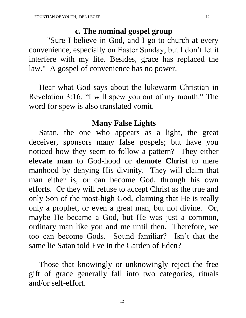#### **c. The nominal gospel group**

 "Sure I believe in God, and I go to church at every convenience, especially on Easter Sunday, but I don't let it interfere with my life. Besides, grace has replaced the law." A gospel of convenience has no power.

 Hear what God says about the lukewarm Christian in Revelation 3:16. "I will spew you out of my mouth." The word for spew is also translated vomit.

### **Many False Lights**

 Satan, the one who appears as a light, the great deceiver, sponsors many false gospels; but have you noticed how they seem to follow a pattern? They either **elevate man** to God-hood or **demote Christ** to mere manhood by denying His divinity. They will claim that man either is, or can become God, through his own efforts. Or they will refuse to accept Christ as the true and only Son of the most-high God, claiming that He is really only a prophet, or even a great man, but not divine. Or, maybe He became a God, but He was just a common, ordinary man like you and me until then. Therefore, we too can become Gods. Sound familiar? Isn't that the same lie Satan told Eve in the Garden of Eden?

 Those that knowingly or unknowingly reject the free gift of grace generally fall into two categories, rituals and/or self-effort.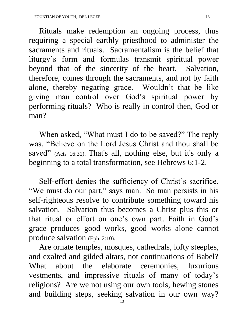Rituals make redemption an ongoing process, thus requiring a special earthly priesthood to administer the sacraments and rituals. Sacramentalism is the belief that liturgy's form and formulas transmit spiritual power beyond that of the sincerity of the heart. Salvation, therefore, comes through the sacraments, and not by faith alone, thereby negating grace. Wouldn't that be like giving man control over God's spiritual power by performing rituals? Who is really in control then, God or man?

 When asked, "What must I do to be saved?" The reply was, "Believe on the Lord Jesus Christ and thou shall be saved" (Acts 16:31). That's all, nothing else, but it's only a beginning to a total transformation, see Hebrews 6:1-2.

 Self-effort denies the sufficiency of Christ's sacrifice. "We must do our part," says man. So man persists in his self-righteous resolve to contribute something toward his salvation. Salvation thus becomes a Christ plus this or that ritual or effort on one's own part. Faith in God's grace produces good works, good works alone cannot produce salvation (Eph. 2:10).

 Are ornate temples, mosques, cathedrals, lofty steeples, and exalted and gilded altars, not continuations of Babel? What about the elaborate ceremonies, luxurious vestments, and impressive rituals of many of today's religions? Are we not using our own tools, hewing stones and building steps, seeking salvation in our own way?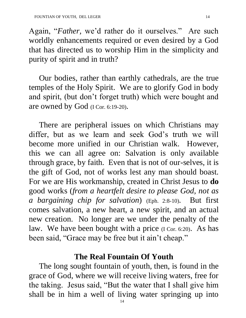Again, "*Father,* we'd rather do it ourselves." Are such worldly enhancements required or even desired by a God that has directed us to worship Him in the simplicity and purity of spirit and in truth?

 Our bodies, rather than earthly cathedrals, are the true temples of the Holy Spirit. We are to glorify God in body and spirit, (but don't forget truth) which were bought and are owned by God (I Cor. 6:19-20).

 There are peripheral issues on which Christians may differ, but as we learn and seek God's truth we will become more unified in our Christian walk. However, this we can all agree on: Salvation is only available through grace, by faith. Even that is not of our-selves, it is the gift of God, not of works lest any man should boast. For we are His workmanship, created in Christ Jesus to **do** good works (*from a heartfelt desire to please God, not as a bargaining chip for salvation*) (Eph. 2:8-10). But first comes salvation, a new heart, a new spirit, and an actual new creation. No longer are we under the penalty of the law. We have been bought with a price (I Cor. 6:20). As has been said, "Grace may be free but it ain't cheap."

#### **The Real Fountain Of Youth**

 The long sought fountain of youth, then, is found in the grace of God, where we will receive living waters, free for the taking. Jesus said, "But the water that I shall give him shall be in him a well of living water springing up into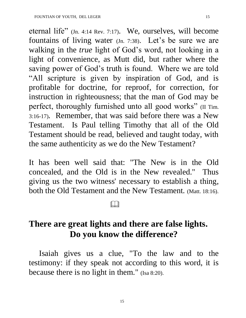eternal life" (Jn. 4:14 Rev. 7:17). We, ourselves, will become fountains of living water (Jn. 7:38). Let's be sure we are walking in the *true* light of God's word, not looking in a light of convenience, as Mutt did, but rather where the saving power of God's truth is found. Where we are told "All scripture is given by inspiration of God, and is profitable for doctrine, for reproof, for correction, for instruction in righteousness; that the man of God may be perfect, thoroughly furnished unto all good works" (II Tim. 3:16-17). Remember, that was said before there was a New Testament. Is Paul telling Timothy that all of the Old Testament should be read, believed and taught today, with the same authenticity as we do the New Testament?

It has been well said that: "The New is in the Old concealed, and the Old is in the New revealed." Thus giving us the two witness' necessary to establish a thing, both the Old Testament and the New Testament. (Matt. 18:16).

## <u>and the state of the state of the state of the state of the state of the state of the state of the state of the state of the state of the state of the state of the state of the state of the state of the state of the state</u>

## **There are great lights and there are false lights. Do you know the difference?**

 Isaiah gives us a clue, "To the law and to the testimony: if they speak not according to this word, it is because there is no light in them." (Isa 8:20).